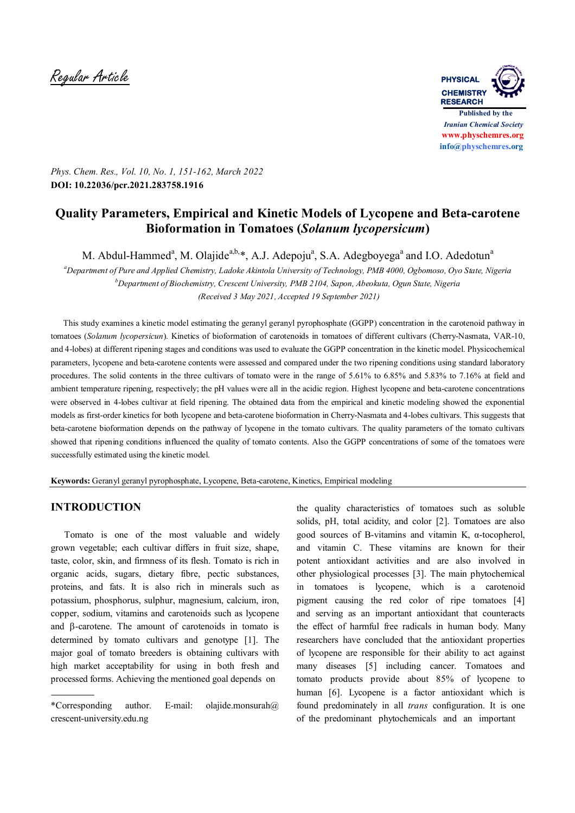Regular Article **PHYSICAL**



*Phys. Chem. Res., Vol. 10, No. 1, 151-162, March 2022* **DOI: 10.22036/pcr.2021.283758.1916**

# **Quality Parameters, Empirical and Kinetic Models of Lycopene and Beta-carotene Bioformation in Tomatoes (***Solanum lycopersicum***)**

M. Abdul-Hammed<sup>a</sup>, M. Olajide<sup>a,b,\*</sup>, A.J. Adepoju<sup>a</sup>, S.A. Adegboyega<sup>a</sup> and I.O. Adedotun<sup>a</sup>

*<sup>a</sup>Department of Pure and Applied Chemistry, Ladoke Akintola University of Technology, PMB 4000, Ogbomoso, Oyo State, Nigeria <sup>b</sup>Department of Biochemistry, Crescent University, PMB 2104, Sapon, Abeokuta, Ogun State, Nigeria (Received 3 May 2021, Accepted 19 September 2021)*

 This study examines a kinetic model estimating the geranyl geranyl pyrophosphate (GGPP) concentration in the carotenoid pathway in tomatoes (*Solanum lycopersicun*). Kinetics of bioformation of carotenoids in tomatoes of different cultivars (Cherry-Nasmata, VAR-10, and 4-lobes) at different ripening stages and conditions was used to evaluate the GGPP concentration in the kinetic model. Physicochemical parameters, lycopene and beta-carotene contents were assessed and compared under the two ripening conditions using standard laboratory procedures. The solid contents in the three cultivars of tomato were in the range of 5.61% to 6.85% and 5.83% to 7.16% at field and ambient temperature ripening, respectively; the pH values were all in the acidic region. Highest lycopene and beta-carotene concentrations were observed in 4-lobes cultivar at field ripening. The obtained data from the empirical and kinetic modeling showed the exponential models as first-order kinetics for both lycopene and beta-carotene bioformation in Cherry-Nasmata and 4-lobes cultivars. This suggests that beta-carotene bioformation depends on the pathway of lycopene in the tomato cultivars. The quality parameters of the tomato cultivars showed that ripening conditions influenced the quality of tomato contents. Also the GGPP concentrations of some of the tomatoes were successfully estimated using the kinetic model.

**Keywords:** Geranyl geranyl pyrophosphate, Lycopene, Beta-carotene, Kinetics, Empirical modeling

## **INTRODUCTION**

 Tomato is one of the most valuable and widely grown vegetable; each cultivar differs in fruit size, shape, taste, color, skin, and firmness of its flesh. Tomato is rich in organic acids, sugars, dietary fibre, pectic substances, proteins, and fats. It is also rich in minerals such as potassium, phosphorus, sulphur, magnesium, calcium, iron, copper, sodium, vitamins and carotenoids such as lycopene and  $\beta$ -carotene. The amount of carotenoids in tomato is determined by tomato cultivars and genotype [1]. The major goal of tomato breeders is obtaining cultivars with high market acceptability for using in both fresh and processed forms. Achieving the mentioned goal depends on

the quality characteristics of tomatoes such as soluble solids, pH, total acidity, and color [2]. Tomatoes are also good sources of B-vitamins and vitamin K, α-tocopherol, and vitamin C. These vitamins are known for their potent antioxidant activities and are also involved in other physiological processes [3]. The main phytochemical in tomatoes is lycopene, which is a carotenoid pigment causing the red color of ripe tomatoes [4] and serving as an important antioxidant that counteracts the effect of harmful free radicals in human body. Many researchers have concluded that the antioxidant properties of lycopene are responsible for their ability to act against many diseases [5] including cancer. Tomatoes and tomato products provide about 85% of lycopene to human [6]. Lycopene is a factor antioxidant which is found predominately in all *trans* configuration. It is one of the predominant phytochemicals and an important

<sup>\*</sup>Corresponding author. E-mail: olajide.monsurah@ crescent-university.edu.ng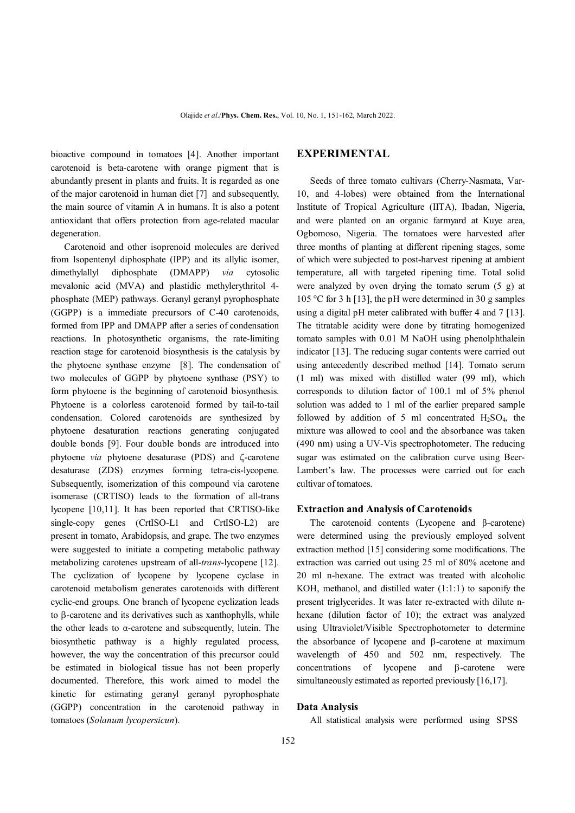bioactive compound in tomatoes [4]. Another important carotenoid is beta-carotene with orange pigment that is abundantly present in plants and fruits. It is regarded as one of the major carotenoid in human diet [7] and subsequently, the main source of vitamin A in humans. It is also a potent antioxidant that offers protection from age-related macular degeneration.

 Carotenoid and other isoprenoid molecules are derived from Isopentenyl diphosphate (IPP) and its allylic isomer, dimethylallyl diphosphate (DMAPP) *via* cytosolic mevalonic acid (MVA) and plastidic methylerythritol 4 phosphate (MEP) pathways. Geranyl geranyl pyrophosphate (GGPP) is a immediate precursors of C-40 carotenoids, formed from IPP and DMAPP after a series of condensation reactions. In photosynthetic organisms, the rate-limiting reaction stage for carotenoid biosynthesis is the catalysis by the phytoene synthase enzyme [8]. The condensation of two molecules of GGPP by phytoene synthase (PSY) to form phytoene is the beginning of carotenoid biosynthesis. Phytoene is a colorless carotenoid formed by tail-to-tail condensation. Colored carotenoids are synthesized by phytoene desaturation reactions generating conjugated double bonds [9]. Four double bonds are introduced into phytoene *via* phytoene desaturase (PDS) and  $\zeta$ -carotene desaturase (ZDS) enzymes forming tetra-cis-lycopene. Subsequently, isomerization of this compound via carotene isomerase (CRTISO) leads to the formation of all-trans lycopene [10,11]. It has been reported that CRTISO-like single-copy genes (CrtISO-L1 and CrtISO-L2) are present in tomato, Arabidopsis, and grape. The two enzymes were suggested to initiate a competing metabolic pathway metabolizing carotenes upstream of all-*trans*-lycopene [12]. The cyclization of lycopene by lycopene cyclase in carotenoid metabolism generates carotenoids with different cyclic-end groups. One branch of lycopene cyclization leads to  $\beta$ -carotene and its derivatives such as xanthophylls, while the other leads to  $\alpha$ -carotene and subsequently, lutein. The biosynthetic pathway is a highly regulated process, however, the way the concentration of this precursor could be estimated in biological tissue has not been properly documented. Therefore, this work aimed to model the kinetic for estimating geranyl geranyl pyrophosphate (GGPP) concentration in the carotenoid pathway in tomatoes (*Solanum lycopersicun*).

### **EXPERIMENTAL**

 Seeds of three tomato cultivars (Cherry-Nasmata, Var-10, and 4-lobes) were obtained from the International Institute of Tropical Agriculture (IITA), Ibadan, Nigeria, and were planted on an organic farmyard at Kuye area, Ogbomoso, Nigeria. The tomatoes were harvested after three months of planting at different ripening stages, some of which were subjected to post-harvest ripening at ambient temperature, all with targeted ripening time. Total solid were analyzed by oven drying the tomato serum (5 g) at 105 °C for 3 h [13], the pH were determined in 30 g samples using a digital pH meter calibrated with buffer 4 and 7 [13]. The titratable acidity were done by titrating homogenized tomato samples with 0.01 M NaOH using phenolphthalein indicator [13]. The reducing sugar contents were carried out using antecedently described method [14]. Tomato serum (1 ml) was mixed with distilled water (99 ml), which corresponds to dilution factor of 100.1 ml of 5% phenol solution was added to 1 ml of the earlier prepared sample followed by addition of 5 ml concentrated  $H_2SO_4$ , the mixture was allowed to cool and the absorbance was taken (490 nm) using a UV-Vis spectrophotometer. The reducing sugar was estimated on the calibration curve using Beer-Lambert's law. The processes were carried out for each cultivar of tomatoes.

#### **Extraction and Analysis of Carotenoids**

 The carotenoid contents (Lycopene and β-carotene) were determined using the previously employed solvent extraction method [15] considering some modifications. The extraction was carried out using 25 ml of 80% acetone and 20 ml n-hexane. The extract was treated with alcoholic KOH, methanol, and distilled water  $(1:1:1)$  to saponify the present triglycerides. It was later re-extracted with dilute nhexane (dilution factor of 10); the extract was analyzed using Ultraviolet/Visible Spectrophotometer to determine the absorbance of lycopene and B-carotene at maximum wavelength of 450 and 502 nm, respectively. The concentrations of lycopene and  $\beta$ -carotene were simultaneously estimated as reported previously [16,17].

#### **Data Analysis**

All statistical analysis were performed using SPSS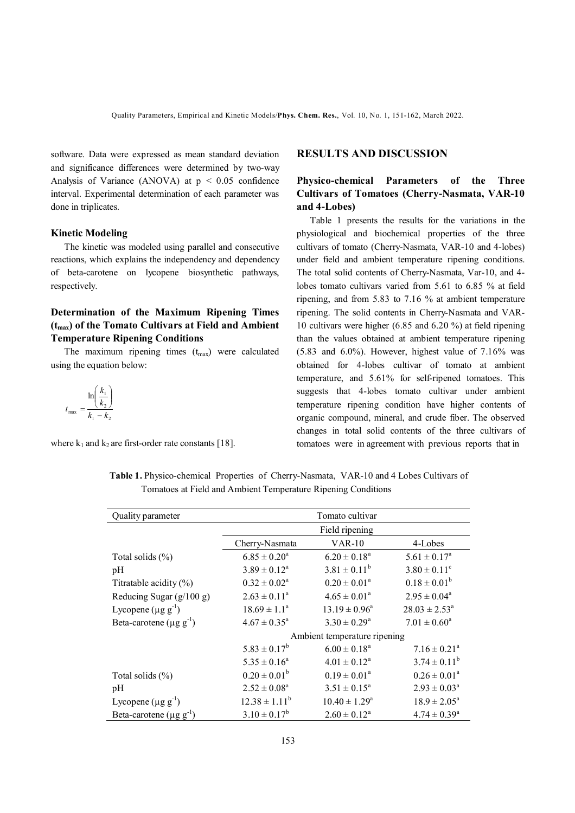software. Data were expressed as mean standard deviation and significance differences were determined by two-way Analysis of Variance (ANOVA) at  $p < 0.05$  confidence interval. Experimental determination of each parameter was done in triplicates.

#### **Kinetic Modeling**

 The kinetic was modeled using parallel and consecutive reactions, which explains the independency and dependency of beta-carotene on lycopene biosynthetic pathways, respectively.

## **Determination of the Maximum Ripening Times (tmax) of the Tomato Cultivars at Field and Ambient Temperature Ripening Conditions**

The maximum ripening times  $(t_{\text{max}})$  were calculated using the equation below:

$$
t_{\max} = \frac{\ln\left(\frac{k_1}{k_2}\right)}{k_1 - k_2}
$$

where  $k_1$  and  $k_2$  are first-order rate constants [18].

#### **RESULTS AND DISCUSSION**

## **Physico-chemical Parameters of the Three Cultivars of Tomatoes (Cherry-Nasmata, VAR-10 and 4-Lobes)**

 Table 1 presents the results for the variations in the physiological and biochemical properties of the three cultivars of tomato (Cherry-Nasmata, VAR-10 and 4-lobes) under field and ambient temperature ripening conditions. The total solid contents of Cherry-Nasmata, Var-10, and 4 lobes tomato cultivars varied from 5.61 to 6.85 % at field ripening, and from 5.83 to 7.16 % at ambient temperature ripening. The solid contents in Cherry-Nasmata and VAR-10 cultivars were higher (6.85 and 6.20 %) at field ripening than the values obtained at ambient temperature ripening (5.83 and 6.0%). However, highest value of 7.16% was obtained for 4-lobes cultivar of tomato at ambient temperature, and 5.61% for self-ripened tomatoes. This suggests that 4-lobes tomato cultivar under ambient temperature ripening condition have higher contents of organic compound, mineral, and crude fiber. The observed changes in total solid contents of the three cultivars of tomatoes were in agreement with previous reports that in

**Table 1.** Physico-chemical Properties of Cherry-Nasmata, VAR-10 and 4 Lobes Cultivars of Tomatoes at Field and Ambient Temperature Ripening Conditions

| Quality parameter                         | Tomato cultivar              |                    |                              |  |  |
|-------------------------------------------|------------------------------|--------------------|------------------------------|--|--|
|                                           | Field ripening               |                    |                              |  |  |
|                                           | Cherry-Nasmata               | <b>VAR-10</b>      | 4-Lobes                      |  |  |
| Total solids $(\% )$                      | $6.85 \pm 0.20^a$            | $6.20 \pm 0.18^a$  | $5.61 \pm 0.17^a$            |  |  |
| pH                                        | $3.89 \pm 0.12^a$            | $3.81 \pm 0.11^b$  | $3.80 \pm 0.11$ <sup>c</sup> |  |  |
| Titratable acidity $(\%)$                 | $0.32 \pm 0.02^a$            | $0.20 \pm 0.01^a$  | $0.18 \pm 0.01^b$            |  |  |
| Reducing Sugar $(g/100 g)$                | $2.63 \pm 0.11^a$            | $4.65 \pm 0.01^a$  | $2.95 \pm 0.04^a$            |  |  |
| Lycopene $(\mu g g^{-1})$                 | $18.69 \pm 1.1^{\circ}$      | $13.19 \pm 0.96^a$ | $28.03 \pm 2.53^a$           |  |  |
| Beta-carotene ( $\mu$ g g <sup>-1</sup> ) | $4.67 \pm 0.35^a$            | $3.30 \pm 0.29^a$  | $7.01 \pm 0.60^a$            |  |  |
|                                           | Ambient temperature ripening |                    |                              |  |  |
|                                           | $5.83 \pm 0.17^b$            | $6.00 \pm 0.18^a$  | $7.16 \pm 0.21$ <sup>a</sup> |  |  |
|                                           | $5.35 \pm 0.16^a$            | $4.01 \pm 0.12^a$  | $3.74 \pm 0.11^b$            |  |  |
| Total solids $(\% )$                      | $0.20 \pm 0.01^b$            | $0.19 \pm 0.01^a$  | $0.26 \pm 0.01^a$            |  |  |
| pH                                        | $2.52 \pm 0.08^a$            | $3.51 \pm 0.15^a$  | $2.93 \pm 0.03^a$            |  |  |
| Lycopene $(\mu g g^{-1})$                 | $12.38 \pm 1.11^b$           | $10.40 \pm 1.29^a$ | $18.9 \pm 2.05^a$            |  |  |
| Beta-carotene $(\mu g g^{-1})$            | $3.10 \pm 0.17^b$            | $2.60 \pm 0.12^a$  | $4.74 \pm 0.39$ <sup>a</sup> |  |  |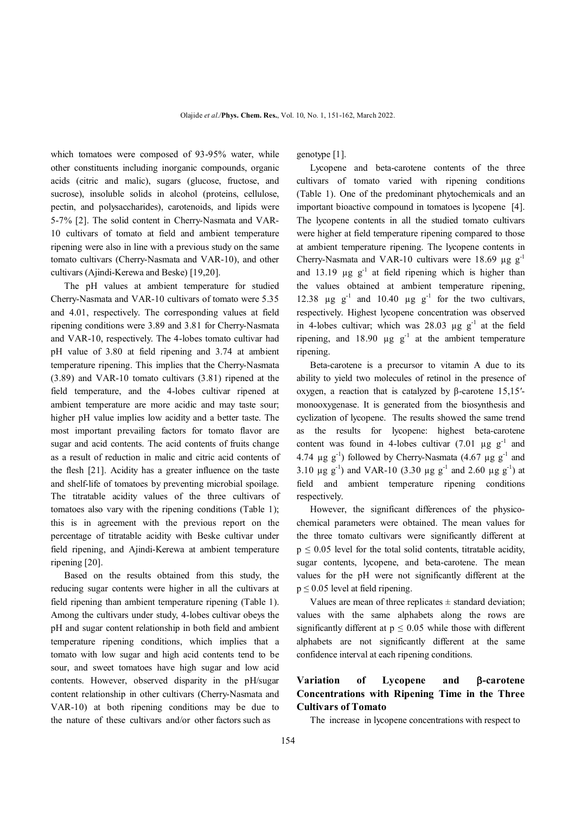which tomatoes were composed of 93-95% water, while other constituents including inorganic compounds, organic acids (citric and malic), sugars (glucose, fructose, and sucrose), insoluble solids in alcohol (proteins, cellulose, pectin, and polysaccharides), carotenoids, and lipids were 5-7% [2]. The solid content in Cherry-Nasmata and VAR-10 cultivars of tomato at field and ambient temperature ripening were also in line with a previous study on the same tomato cultivars (Cherry-Nasmata and VAR-10), and other cultivars (Ajindi-Kerewa and Beske) [19,20].

 The pH values at ambient temperature for studied Cherry-Nasmata and VAR-10 cultivars of tomato were 5.35 and 4.01, respectively. The corresponding values at field ripening conditions were 3.89 and 3.81 for Cherry-Nasmata and VAR-10, respectively. The 4-lobes tomato cultivar had pH value of 3.80 at field ripening and 3.74 at ambient temperature ripening. This implies that the Cherry-Nasmata (3.89) and VAR-10 tomato cultivars (3.81) ripened at the field temperature, and the 4-lobes cultivar ripened at ambient temperature are more acidic and may taste sour; higher pH value implies low acidity and a better taste. The most important prevailing factors for tomato flavor are sugar and acid contents. The acid contents of fruits change as a result of reduction in malic and citric acid contents of the flesh [21]. Acidity has a greater influence on the taste and shelf-life of tomatoes by preventing microbial spoilage. The titratable acidity values of the three cultivars of tomatoes also vary with the ripening conditions (Table 1); this is in agreement with the previous report on the percentage of titratable acidity with Beske cultivar under field ripening, and Ajindi-Kerewa at ambient temperature ripening [20].

 Based on the results obtained from this study, the reducing sugar contents were higher in all the cultivars at field ripening than ambient temperature ripening (Table 1). Among the cultivars under study, 4-lobes cultivar obeys the pH and sugar content relationship in both field and ambient temperature ripening conditions, which implies that a tomato with low sugar and high acid contents tend to be sour, and sweet tomatoes have high sugar and low acid contents. However, observed disparity in the pH/sugar content relationship in other cultivars (Cherry-Nasmata and VAR-10) at both ripening conditions may be due to the nature of these cultivars and/or other factors such as

genotype [1].

 Lycopene and beta-carotene contents of the three cultivars of tomato varied with ripening conditions (Table 1). One of the predominant phytochemicals and an important bioactive compound in tomatoes is lycopene [4]. The lycopene contents in all the studied tomato cultivars were higher at field temperature ripening compared to those at ambient temperature ripening. The lycopene contents in Cherry-Nasmata and VAR-10 cultivars were 18.69  $\mu$ g g<sup>-1</sup> and 13.19  $\mu$ g g<sup>-1</sup> at field ripening which is higher than the values obtained at ambient temperature ripening, 12.38  $\mu$ g g<sup>-1</sup> and 10.40  $\mu$ g g<sup>-1</sup> for the two cultivars, respectively. Highest lycopene concentration was observed in 4-lobes cultivar; which was  $28.03 \mu g g^{-1}$  at the field ripening, and 18.90  $\mu$ g g<sup>-1</sup> at the ambient temperature ripening.

 Beta-carotene is a precursor to vitamin A due to its ability to yield two molecules of retinol in the presence of oxygen, a reaction that is catalyzed by β-carotene 15,15′ monooxygenase. It is generated from the biosynthesis and cyclization of lycopene. The results showed the same trend as the results for lycopene: highest beta-carotene content was found in 4-lobes cultivar  $(7.01 \text{ µg g}^{-1})$  and 4.74  $\mu$ g g<sup>-1</sup>) followed by Cherry-Nasmata (4.67  $\mu$ g g<sup>-1</sup> and 3.10  $\mu$ g g<sup>-1</sup>) and VAR-10 (3.30  $\mu$ g g<sup>-1</sup> and 2.60  $\mu$ g g<sup>-1</sup>) at field and ambient temperature ripening conditions respectively.

 However, the significant differences of the physicochemical parameters were obtained. The mean values for the three tomato cultivars were significantly different at  $p \le 0.05$  level for the total solid contents, titratable acidity, sugar contents, lycopene, and beta-carotene. The mean values for the pH were not significantly different at the  $p \le 0.05$  level at field ripening.

Values are mean of three replicates  $\pm$  standard deviation; values with the same alphabets along the rows are significantly different at  $p \le 0.05$  while those with different alphabets are not significantly different at the same confidence interval at each ripening conditions.

# Variation of Lycopene and *B***-carotene Concentrations with Ripening Time in the Three Cultivars of Tomato**

The increase in lycopene concentrations with respect to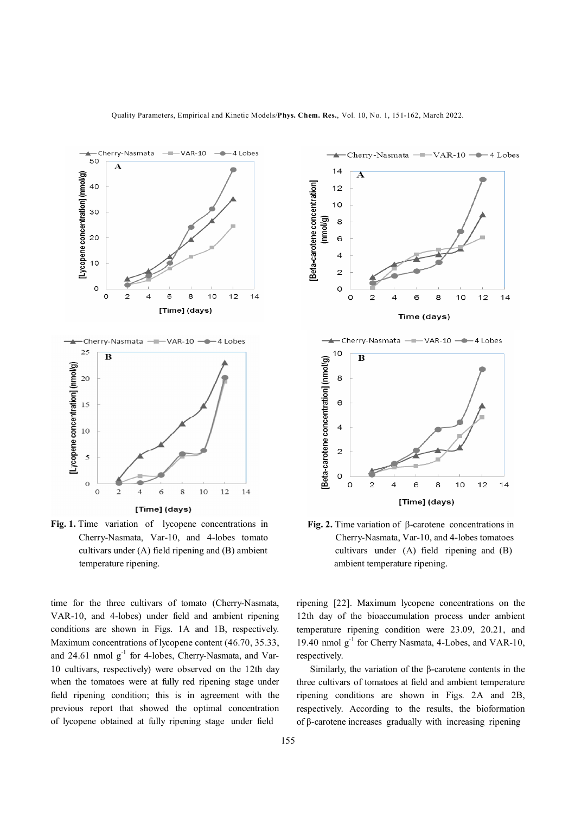

**Fig. 1.** Time variation of lycopene concentrations in Cherry-Nasmata, Var-10, and 4-lobes tomato cultivars under (A) field ripening and (B) ambient temperature ripening.

time for the three cultivars of tomato (Cherry-Nasmata, VAR-10, and 4-lobes) under field and ambient ripening conditions are shown in Figs. 1A and 1B, respectively. Maximum concentrations of lycopene content (46.70, 35.33, and 24.61 nmol g<sup>-1</sup> for 4-lobes, Cherry-Nasmata, and Var-10 cultivars, respectively) were observed on the 12th day when the tomatoes were at fully red ripening stage under field ripening condition; this is in agreement with the previous report that showed the optimal concentration of lycopene obtained at fully ripening stage under field



Cherry-Nasmata  $-\blacksquare$  VAR-10  $-\blacksquare$  4 Lobes

 Cherry-Nasmata, Var-10, and 4-lobes tomatoes cultivars under (A) field ripening and (B) ambient temperature ripening.

ripening [22]. Maximum lycopene concentrations on the 12th day of the bioaccumulation process under ambient temperature ripening condition were 23.09, 20.21, and 19.40 nmol  $g^{-1}$  for Cherry Nasmata, 4-Lobes, and VAR-10, respectively.

 Similarly, the variation of the β-carotene contents in the three cultivars of tomatoes at field and ambient temperature ripening conditions are shown in Figs. 2A and 2B, respectively. According to the results, the bioformation of β-carotene increases gradually with increasing ripening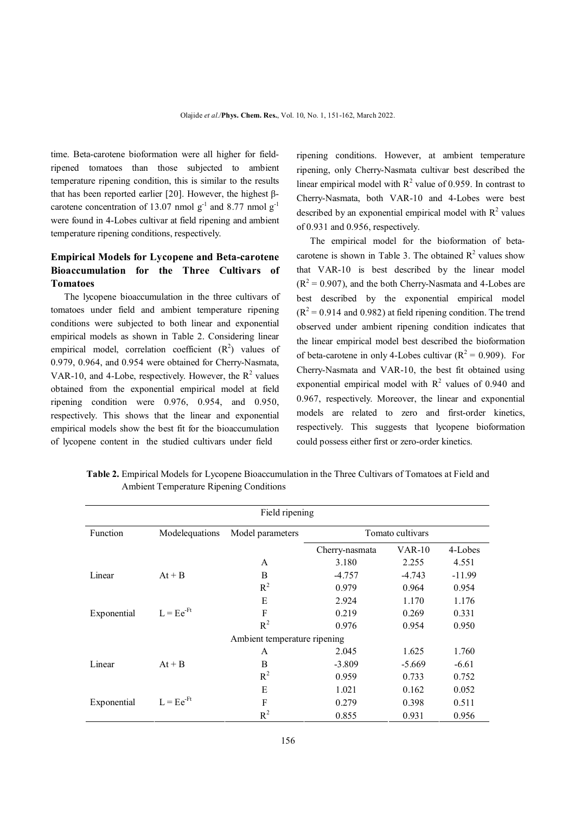time. Beta-carotene bioformation were all higher for fieldripened tomatoes than those subjected to ambient temperature ripening condition, this is similar to the results that has been reported earlier [20]. However, the highest βcarotene concentration of 13.07 nmol  $g^{-1}$  and 8.77 nmol  $g^{-1}$ were found in 4-Lobes cultivar at field ripening and ambient temperature ripening conditions, respectively.

# **Empirical Models for Lycopene and Beta-carotene Bioaccumulation for the Three Cultivars of Tomatoes**

 The lycopene bioaccumulation in the three cultivars of tomatoes under field and ambient temperature ripening conditions were subjected to both linear and exponential empirical models as shown in Table 2. Considering linear empirical model, correlation coefficient  $(R^2)$  values of 0.979, 0.964, and 0.954 were obtained for Cherry-Nasmata, VAR-10, and 4-Lobe, respectively. However, the  $R^2$  values obtained from the exponential empirical model at field ripening condition were 0.976, 0.954, and 0.950, respectively. This shows that the linear and exponential empirical models show the best fit for the bioaccumulation of lycopene content in the studied cultivars under field

ripening conditions. However, at ambient temperature ripening, only Cherry-Nasmata cultivar best described the linear empirical model with  $R^2$  value of 0.959. In contrast to Cherry-Nasmata, both VAR-10 and 4-Lobes were best described by an exponential empirical model with  $R^2$  values of 0.931 and 0.956, respectively.

 The empirical model for the bioformation of betacarotene is shown in Table 3. The obtained  $R^2$  values show that VAR-10 is best described by the linear model  $(R<sup>2</sup> = 0.907)$ , and the both Cherry-Nasmata and 4-Lobes are best described by the exponential empirical model  $(R<sup>2</sup> = 0.914$  and 0.982) at field ripening condition. The trend observed under ambient ripening condition indicates that the linear empirical model best described the bioformation of beta-carotene in only 4-Lobes cultivar  $(R^2 = 0.909)$ . For Cherry-Nasmata and VAR-10, the best fit obtained using exponential empirical model with  $R^2$  values of 0.940 and 0.967, respectively. Moreover, the linear and exponential models are related to zero and first-order kinetics, respectively. This suggests that lycopene bioformation could possess either first or zero-order kinetics.

| Table 2. Empirical Models for Lycopene Bioaccumulation in the Three Cultivars of Tomatoes at Field and |
|--------------------------------------------------------------------------------------------------------|
| <b>Ambient Temperature Ripening Conditions</b>                                                         |

| Field ripening |                |                              |                  |          |          |
|----------------|----------------|------------------------------|------------------|----------|----------|
| Function       | Modelequations | Model parameters             | Tomato cultivars |          |          |
|                |                |                              | Cherry-nasmata   | $VAR-10$ | 4-Lobes  |
|                |                | A                            | 3.180            | 2.255    | 4.551    |
| Linear         | $At + B$       | B                            | -4.757           | $-4.743$ | $-11.99$ |
|                |                | $R^2$                        | 0.979            | 0.964    | 0.954    |
|                |                | E                            | 2.924            | 1.170    | 1.176    |
| Exponential    | $L = Ee^{-Ft}$ | F                            | 0.219            | 0.269    | 0.331    |
|                |                | $R^2$                        | 0.976            | 0.954    | 0.950    |
|                |                | Ambient temperature ripening |                  |          |          |
|                |                | A                            | 2.045            | 1.625    | 1.760    |
| Linear         | $At + B$       | B                            | $-3.809$         | $-5.669$ | $-6.61$  |
|                |                | $R^2$                        | 0.959            | 0.733    | 0.752    |
|                |                | E                            | 1.021            | 0.162    | 0.052    |
| Exponential    | $L = Ee^{-Ft}$ | F                            | 0.279            | 0.398    | 0.511    |
|                |                | $R^2$                        | 0.855            | 0.931    | 0.956    |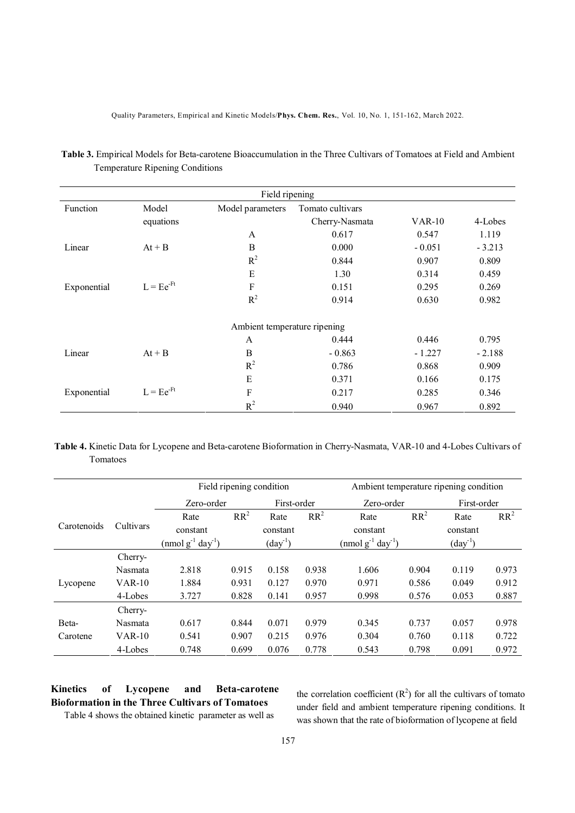Quality Parameters, Empirical and Kinetic Models/**Phys. Chem. Res.**, Vol. 10, No. 1, 151-162, March 2022.

| Field ripening |                |                              |                  |          |          |
|----------------|----------------|------------------------------|------------------|----------|----------|
| Function       | Model          | Model parameters             | Tomato cultivars |          |          |
|                | equations      |                              | Cherry-Nasmata   | $VAR-10$ | 4-Lobes  |
|                |                | A                            | 0.617            | 0.547    | 1.119    |
| Linear         | $At + B$       | B                            | 0.000            | $-0.051$ | $-3.213$ |
|                |                | $R^2$                        | 0.844            | 0.907    | 0.809    |
|                |                | E                            | 1.30             | 0.314    | 0.459    |
| Exponential    | $L = Ee^{-Ft}$ | F                            | 0.151            | 0.295    | 0.269    |
|                |                | $R^2$                        | 0.914            | 0.630    | 0.982    |
|                |                | Ambient temperature ripening |                  |          |          |
|                |                | A                            | 0.444            | 0.446    | 0.795    |
| Linear         | $At + B$       | B                            | $-0.863$         | $-1.227$ | $-2.188$ |
|                |                | $R^2$                        | 0.786            | 0.868    | 0.909    |
|                |                | E                            | 0.371            | 0.166    | 0.175    |
| Exponential    | $L = Ee^{-Ft}$ | F                            | 0.217            | 0.285    | 0.346    |
|                |                | $R^2$                        | 0.940            | 0.967    | 0.892    |

**Table 3.** Empirical Models for Beta-carotene Bioaccumulation in the Three Cultivars of Tomatoes at Field and Ambient Temperature Ripening Conditions

**Table 4.** Kinetic Data for Lycopene and Beta-carotene Bioformation in Cherry-Nasmata, VAR-10 and 4-Lobes Cultivars of Tomatoes

|             |           | Field ripening condition         |        |                  | Ambient temperature ripening condition |                                    |        |                     |        |
|-------------|-----------|----------------------------------|--------|------------------|----------------------------------------|------------------------------------|--------|---------------------|--------|
|             |           | Zero-order                       |        | First-order      |                                        | Zero-order                         |        | First-order         |        |
|             |           | Rate                             | $RR^2$ | Rate             | $RR^2$                                 | Rate                               | $RR^2$ | Rate                | $RR^2$ |
| Carotenoids | Cultivars | constant                         |        | constant         |                                        | constant                           |        | constant            |        |
|             |           | $\pmod{g^{-1} \text{ day}^{-1}}$ |        | $\text{(day}^1)$ |                                        | $\pmod{g^{-1} \, \text{day}^{-1}}$ |        | $\text{(day}^{-1})$ |        |
|             | Cherry-   |                                  |        |                  |                                        |                                    |        |                     |        |
|             | Nasmata   | 2.818                            | 0.915  | 0.158            | 0.938                                  | 1.606                              | 0.904  | 0.119               | 0.973  |
| Lycopene    | $VAR-10$  | 1.884                            | 0.931  | 0.127            | 0.970                                  | 0.971                              | 0.586  | 0.049               | 0.912  |
|             | 4-Lobes   | 3.727                            | 0.828  | 0.141            | 0.957                                  | 0.998                              | 0.576  | 0.053               | 0.887  |
|             | Cherry-   |                                  |        |                  |                                        |                                    |        |                     |        |
| Beta-       | Nasmata   | 0.617                            | 0.844  | 0.071            | 0.979                                  | 0.345                              | 0.737  | 0.057               | 0.978  |
| Carotene    | $VAR-10$  | 0.541                            | 0.907  | 0.215            | 0.976                                  | 0.304                              | 0.760  | 0.118               | 0.722  |
|             | 4-Lobes   | 0.748                            | 0.699  | 0.076            | 0.778                                  | 0.543                              | 0.798  | 0.091               | 0.972  |

# **Kinetics of Lycopene and Beta-carotene Bioformation in the Three Cultivars of Tomatoes**

the correlation coefficient  $(R^2)$  for all the cultivars of tomato under field and ambient temperature ripening conditions. It was shown that the rate of bioformation of lycopene at field

Table 4 shows the obtained kinetic parameter as well as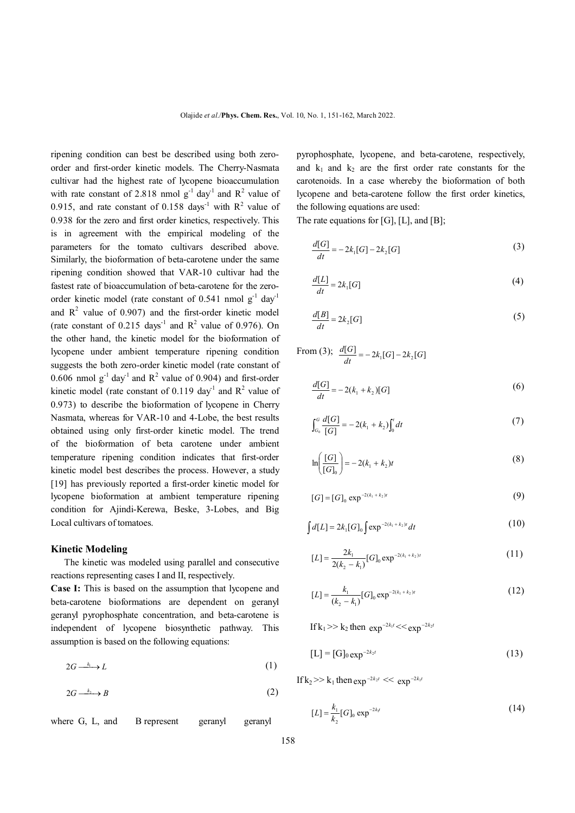ripening condition can best be described using both zeroorder and first-order kinetic models. The Cherry-Nasmata cultivar had the highest rate of lycopene bioaccumulation with rate constant of 2.818 nmol  $g^{-1}$  day<sup>-1</sup> and  $R^2$  value of 0.915, and rate constant of 0.158 days<sup>-1</sup> with  $R^2$  value of 0.938 for the zero and first order kinetics, respectively. This is in agreement with the empirical modeling of the parameters for the tomato cultivars described above. Similarly, the bioformation of beta-carotene under the same ripening condition showed that VAR-10 cultivar had the fastest rate of bioaccumulation of beta-carotene for the zeroorder kinetic model (rate constant of 0.541 nmol  $g^{-1}$  day<sup>-1</sup> and  $R^2$  value of 0.907) and the first-order kinetic model (rate constant of  $0.215 \text{ days}^{-1}$  and  $\mathbb{R}^2$  value of 0.976). On the other hand, the kinetic model for the bioformation of lycopene under ambient temperature ripening condition suggests the both zero-order kinetic model (rate constant of 0.606 nmol  $g^{-1}$  day<sup>1</sup> and  $R^2$  value of 0.904) and first-order kinetic model (rate constant of 0.119 day<sup>-1</sup> and  $R^2$  value of 0.973) to describe the bioformation of lycopene in Cherry Nasmata, whereas for VAR-10 and 4-Lobe, the best results obtained using only first-order kinetic model. The trend of the bioformation of beta carotene under ambient temperature ripening condition indicates that first-order kinetic model best describes the process. However, a study [19] has previously reported a first-order kinetic model for lycopene bioformation at ambient temperature ripening condition for Ajindi-Kerewa, Beske, 3-Lobes, and Big Local cultivars of tomatoes.

#### **Kinetic Modeling**

 The kinetic was modeled using parallel and consecutive reactions representing cases I and II, respectively.

**Case I:** This is based on the assumption that lycopene and beta-carotene bioformations are dependent on geranyl geranyl pyrophosphate concentration, and beta-carotene is independent of lycopene biosynthetic pathway. This assumption is based on the following equations:

$$
2G \xrightarrow{k_1} L \tag{1}
$$

$$
2G \xrightarrow{k_2} B \tag{2}
$$

where G, L, and B represent geranyl geranyl

pyrophosphate, lycopene, and beta-carotene, respectively, and  $k_1$  and  $k_2$  are the first order rate constants for the carotenoids. In a case whereby the bioformation of both lycopene and beta-carotene follow the first order kinetics, the following equations are used:

The rate equations for [G], [L], and [B];

$$
\frac{d[G]}{dt} = -2k_1[G] - 2k_2[G] \tag{3}
$$

$$
\frac{d[L]}{dt} = 2k_1[G] \tag{4}
$$

$$
\frac{d[B]}{dt} = 2k_2[G] \tag{5}
$$

From (3);  $\frac{d[G]}{dt} = -2k_1[G] - 2k_2[G]$  $\frac{d[G]}{dG} = -2k(G] -$ 

$$
\frac{d[G]}{dt} = -2(k_1 + k_2)[G] \tag{6}
$$

$$
\int_{G_0}^{G} \frac{d[G]}{[G]} = -2(k_1 + k_2) \int_0^t dt \tag{7}
$$

$$
\ln\left(\frac{[G]}{[G]_0}\right) = -2(k_1 + k_2)t\tag{8}
$$

$$
[G] = [G]_0 \exp^{-2(k_1 + k_2)t}
$$
\n(9)

$$
\int d[L] = 2k_1[G]_0 \int \exp^{-2(k_1 + k_2)t} dt \tag{10}
$$

$$
[L] = \frac{2k_1}{2(k_2 - k_1)} [G]_0 \exp^{-2(k_1 + k_2)t}
$$
 (11)

$$
[L] = \frac{k_1}{(k_2 - k_1)} [G]_0 \exp^{-2(k_1 + k_2)t}
$$
\n(12)

If  $k_1 >> k_2$  then  $exp^{-2k_1 t} << exp^{-2k_2 t}$ 

$$
[L] = [G]_{0} \exp^{-2k_2 t}
$$
 (13)

If  $k_2 >> k_1$  then  $\exp^{-2k_2 t} << \exp^{-2k_1 t}$ 

$$
[L] = \frac{k_1}{k_2} [G]_0 \exp^{-2k_1 t}
$$
 (14)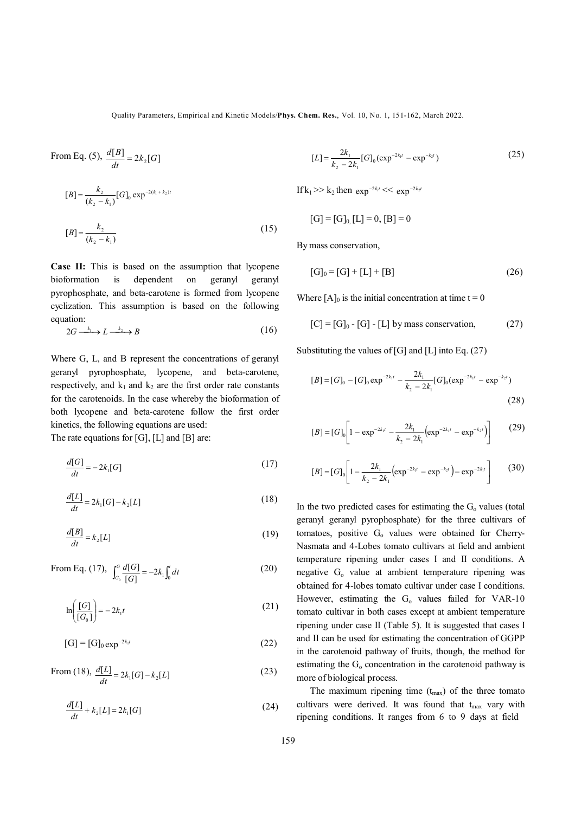Quality Parameters, Empirical and Kinetic Models/**Phys. Chem. Res.**, Vol. 10, No. 1, 151-162, March 2022.

From Eq. (5), 
$$
\frac{d[B]}{dt} = 2k_2[G]
$$
  
\n
$$
[B] = \frac{k_2}{(k_2 - k_1)} [G]_0 \exp^{-2(k_1 + k_2)t}
$$
\n
$$
[B] = \frac{k_2}{(k_2 - k_1)}
$$
\n(15)

**Case II:** This is based on the assumption that lycopene bioformation is dependent on geranyl geranyl pyrophosphate, and beta-carotene is formed from lycopene cyclization. This assumption is based on the following equation:

$$
2G \xrightarrow{k_1} L \xrightarrow{k_2} B \tag{16}
$$

Where G, L, and B represent the concentrations of geranyl geranyl pyrophosphate, lycopene, and beta-carotene, respectively, and  $k_1$  and  $k_2$  are the first order rate constants for the carotenoids. In the case whereby the bioformation of both lycopene and beta-carotene follow the first order kinetics, the following equations are used:

The rate equations for [G], [L] and [B] are:

$$
\frac{d[G]}{dt} = -2k_1[G] \tag{17}
$$

$$
\frac{d[L]}{dt} = 2k_1[G] - k_2[L] \tag{18}
$$

$$
\frac{d[B]}{dt} = k_2[L] \tag{19}
$$

From Eq. (17), 
$$
\int_{G_0}^{G} \frac{d[G]}{[G]} = -2k_1 \int_0^t dt
$$
 (20)

$$
\ln\left(\frac{[G]}{[G_0]}\right) = -2k_1t\tag{21}
$$

 [G] = [G]<sup>0</sup> *<sup>k</sup> <sup>t</sup>* <sup>2</sup> <sup>1</sup> exp (22)

From (18),  $\frac{d[L]}{dt} = 2k_1[G] - k_2[L]$  $\frac{d[L]}{1} = 2k_1[G] -$ (23)

$$
\frac{d[L]}{dt} + k_2[L] = 2k_1[G] \tag{24}
$$

$$
[L] = \frac{2k_1}{k_2 - 2k_1} [G]_0 (\exp^{-2k_1 t} - \exp^{-k_2 t})
$$
 (25)

If  $k_1 >> k_2$  then  $\exp^{-2k_1 t} << \exp^{-2k_2 t}$ 

$$
[G] = [G]_{0}[L] = 0, [B] = 0
$$

By mass conservation,

$$
[G]_0 = [G] + [L] + [B]
$$
 (26)

Where  $[A]_0$  is the initial concentration at time  $t = 0$ 

$$
[C] = [G]_0 - [G] - [L] by mass conservation,
$$
 (27)

Substituting the values of [G] and [L] into Eq.  $(27)$ 

$$
[B] = [G]_0 - [G]_0 \exp^{-2k_1 t} - \frac{2k_1}{k_2 - 2k_1} [G]_0 (\exp^{-2k_1 t} - \exp^{-k_2 t})
$$
\n(28)

$$
[B] = [G]_0 \left[ 1 - \exp^{-2k_1 t} - \frac{2k_1}{k_2 - 2k_1} \left( \exp^{-2k_1 t} - \exp^{-k_2 t} \right) \right]
$$
(29)

$$
[B] = [G]_0 \left[ 1 - \frac{2k_1}{k_2 - 2k_1} \left( \exp^{-2k_1 t} - \exp^{-k_2 t} \right) - \exp^{-2k_1 t} \right] \tag{30}
$$

In the two predicted cases for estimating the  $G<sub>o</sub>$  values (total geranyl geranyl pyrophosphate) for the three cultivars of tomatoes, positive  $G_0$  values were obtained for Cherry-Nasmata and 4-Lobes tomato cultivars at field and ambient temperature ripening under cases I and II conditions. A negative G<sub>o</sub> value at ambient temperature ripening was obtained for 4-lobes tomato cultivar under case I conditions. However, estimating the  $G_0$  values failed for VAR-10 tomato cultivar in both cases except at ambient temperature ripening under case II (Table 5). It is suggested that cases I and II can be used for estimating the concentration of GGPP in the carotenoid pathway of fruits, though, the method for estimating the  $G_0$  concentration in the carotenoid pathway is more of biological process.

The maximum ripening time  $(t_{max})$  of the three tomato cultivars were derived. It was found that  $t_{\text{max}}$  vary with ripening conditions. It ranges from 6 to 9 days at field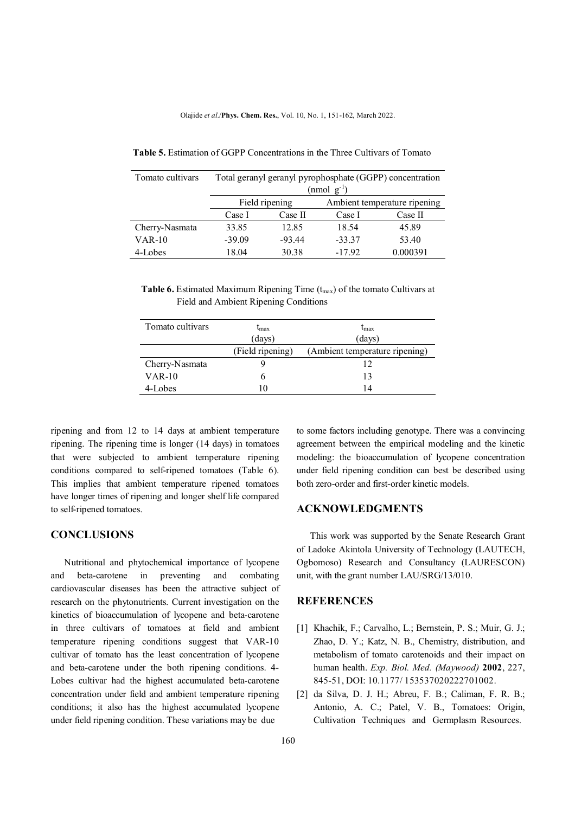| Tomato cultivars | Total geranyl geranyl pyrophosphate (GGPP) concentration<br>$(mmol \text{ g}^{-1})$ |          |                              |          |
|------------------|-------------------------------------------------------------------------------------|----------|------------------------------|----------|
|                  |                                                                                     |          |                              |          |
|                  | Field ripening                                                                      |          | Ambient temperature ripening |          |
|                  | Case I                                                                              | Case II  | Case I                       | Case II  |
| Cherry-Nasmata   | 33.85                                                                               | 12.85    | 18.54                        | 45.89    |
| $VAR-10$         | $-39.09$                                                                            | $-93.44$ | $-33.37$                     | 53.40    |
| 4-Lobes          | 18.04                                                                               | 30.38    | $-17.92$                     | 0.000391 |

 **Table 5.** Estimation of GGPP Concentrations in the Three Cultivars of Tomato

**Table 6.** Estimated Maximum Ripening Time (t<sub>max</sub>) of the tomato Cultivars at Field and Ambient Ripening Conditions

| Tomato cultivars | $t_{\rm max}$    | $t_{\rm max}$                  |  |
|------------------|------------------|--------------------------------|--|
|                  | (days)           | (days)                         |  |
|                  | (Field ripening) | (Ambient temperature ripening) |  |
| Cherry-Nasmata   |                  |                                |  |
| $VAR-10$         |                  | 13                             |  |
| 4-Lobes          | 10               | 14                             |  |

ripening and from 12 to 14 days at ambient temperature ripening. The ripening time is longer (14 days) in tomatoes that were subjected to ambient temperature ripening conditions compared to self-ripened tomatoes (Table 6). This implies that ambient temperature ripened tomatoes have longer times of ripening and longer shelf life compared to self-ripened tomatoes.

### **CONCLUSIONS**

 Nutritional and phytochemical importance of lycopene and beta-carotene in preventing and combating cardiovascular diseases has been the attractive subject of research on the phytonutrients. Current investigation on the kinetics of bioaccumulation of lycopene and beta-carotene in three cultivars of tomatoes at field and ambient temperature ripening conditions suggest that VAR-10 cultivar of tomato has the least concentration of lycopene and beta-carotene under the both ripening conditions. 4- Lobes cultivar had the highest accumulated beta-carotene concentration under field and ambient temperature ripening conditions; it also has the highest accumulated lycopene under field ripening condition. These variations may be due

to some factors including genotype. There was a convincing agreement between the empirical modeling and the kinetic modeling: the bioaccumulation of lycopene concentration under field ripening condition can best be described using both zero-order and first-order kinetic models.

#### **ACKNOWLEDGMENTS**

 This work was supported by the Senate Research Grant of Ladoke Akintola University of Technology (LAUTECH, Ogbomoso) Research and Consultancy (LAURESCON) unit, with the grant number LAU/SRG/13/010.

#### **REFERENCES**

- [1] Khachik, F.; Carvalho, L.; Bernstein, P. S.; Muir, G. J.; Zhao, D. Y.; Katz, N. B., Chemistry, distribution, and metabolism of tomato carotenoids and their impact on human health. *Exp. Biol. Med. (Maywood)* **2002**, 227, 845-51, DOI: 10.1177/ 153537020222701002.
- [2] da Silva, D. J. H.; Abreu, F. B.; Caliman, F. R. B.; Antonio, A. C.; Patel, V. B., Tomatoes: Origin, Cultivation Techniques and Germplasm Resources.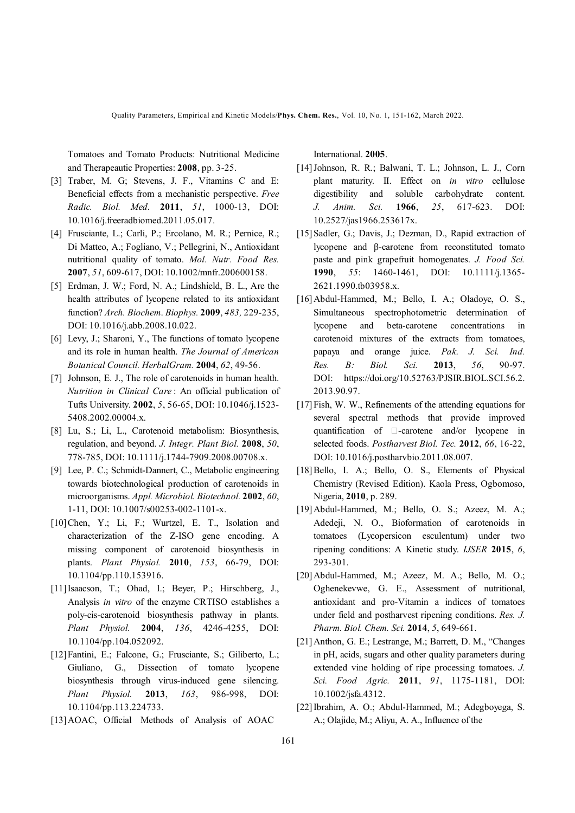Quality Parameters, Empirical and Kinetic Models/**Phys. Chem. Res.**, Vol. 10, No. 1, 151-162, March 2022.

Tomatoes and Tomato Products: Nutritional Medicine and Therapeautic Properties: **2008**, pp. 3-25.

- [3] Traber, M. G; Stevens, J. F., Vitamins C and E: Beneficial effects from a mechanistic perspective. *Free Radic. Biol. Med.* **2011**, *51*, 1000-13, DOI: 10.1016/j.freeradbiomed.2011.05.017.
- [4] Frusciante, L.; Carli, P.; Ercolano, M. R.; Pernice, R.; Di Matteo, A.; Fogliano, V.; Pellegrini, N., Antioxidant nutritional quality of tomato. *Mol. Nutr. Food Res.* **2007**, *51*, 609-617, DOI: 10.1002/mnfr.200600158.
- [5] Erdman, J. W.; Ford, N. A.; Lindshield, B. L., Are the health attributes of lycopene related to its antioxidant function? *Arch. Biochem*. *Biophys.* **2009**, *483,* 229-235, DOI: 10.1016/j.abb.2008.10.022.
- [6] Levy, J.; Sharoni, Y., The functions of tomato lycopene and its role in human health. *The Journal of American Botanical Council. HerbalGram.* **2004**, *62*, 49-56.
- [7] Johnson, E. J., The role of carotenoids in human health. *Nutrition in Clinical Care* : An official publication of Tufts University. **2002**, *5*, 56-65, DOI: 10.1046/j.1523- 5408.2002.00004.x.
- [8] Lu, S.; Li, L., Carotenoid metabolism: Biosynthesis, regulation, and beyond. *J. Integr. Plant Biol.* **2008**, *50*, 778-785, DOI: 10.1111/j.1744-7909.2008.00708.x.
- [9] Lee, P. C.; Schmidt-Dannert, C., Metabolic engineering towards biotechnological production of carotenoids in microorganisms. *Appl. Microbiol. Biotechnol.* **2002**, *60*, 1-11, DOI: 10.1007/s00253-002-1101-x.
- [10]Chen, Y.; Li, F.; Wurtzel, E. T., Isolation and characterization of the Z-ISO gene encoding. A missing component of carotenoid biosynthesis in plants. *Plant Physiol.* **2010**, *153*, 66-79, DOI: 10.1104/pp.110.153916.
- [11]Isaacson, T.; Ohad, I.; Beyer, P.; Hirschberg, J., Analysis *in vitro* of the enzyme CRTISO establishes a poly-cis-carotenoid biosynthesis pathway in plants. *Plant Physiol.* **2004**, *136*, 4246-4255, DOI: 10.1104/pp.104.052092.
- [12]Fantini, E.; Falcone, G.; Frusciante, S.; Giliberto, L.; Giuliano, G., Dissection of tomato lycopene biosynthesis through virus-induced gene silencing. *Plant Physiol.* **2013**, *163*, 986-998, DOI: 10.1104/pp.113.224733.
- [13]AOAC, Official Methods of Analysis of AOAC

International. **2005**.

- [14]Johnson, R. R.; Balwani, T. L.; Johnson, L. J., Corn plant maturity. II. Effect on *in vitro* cellulose digestibility and soluble carbohydrate content. *J. Anim. Sci.* **1966**, *25*, 617-623. DOI: 10.2527/jas1966.253617x.
- [15] Sadler, G.; Davis, J.; Dezman, D., Rapid extraction of lycopene and β-carotene from reconstituted tomato paste and pink grapefruit homogenates. *J. Food Sci.* **1990**, *55*: 1460-1461, DOI: 10.1111/j.1365- 2621.1990.tb03958.x.
- [16]Abdul-Hammed, M.; Bello, I. A.; Oladoye, O. S., Simultaneous spectrophotometric determination of lycopene and beta-carotene concentrations in carotenoid mixtures of the extracts from tomatoes, papaya and orange juice. *Pak*. *J. Sci. Ind. Res. B: Biol. Sci.* **2013**, *56*, 90-97. DOI: https://doi.org/10.52763/PJSIR.BIOL.SCI.56.2. 2013.90.97.
- [17] Fish, W. W., Refinements of the attending equations for several spectral methods that provide improved quantification of  $\Box$ -carotene and/or lycopene in selected foods. *Postharvest Biol. Tec.* **2012**, *66*, 16-22, DOI: 10.1016/j.postharvbio.2011.08.007.
- [18] Bello, I. A.; Bello, O. S., Elements of Physical Chemistry (Revised Edition). Kaola Press, Ogbomoso, Nigeria, **2010**, p. 289.
- [19]Abdul-Hammed, M.; Bello, O. S.; Azeez, M. A.; Adedeji, N. O., Bioformation of carotenoids in tomatoes (Lycopersicon esculentum) under two ripening conditions: A Kinetic study. *IJSER* **2015**, *6*, 293-301.
- [20]Abdul-Hammed, M.; Azeez, M. A.; Bello, M. O.; Oghenekevwe, G. E., Assessment of nutritional, antioxidant and pro-Vitamin a indices of tomatoes under field and postharvest ripening conditions. *Res. J. Pharm. Biol. Chem. Sci.* **2014**, *5*, 649-661.
- [21]Anthon, G. E.; Lestrange, M.; Barrett, D. M., "Changes in pH, acids, sugars and other quality parameters during extended vine holding of ripe processing tomatoes. *J. Sci. Food Agric.* **2011**, *91*, 1175-1181, DOI: 10.1002/jsfa.4312.
- [22]Ibrahim, A. O.; Abdul-Hammed, M.; Adegboyega, S. A.; Olajide, M.; Aliyu, A. A., Influence of the